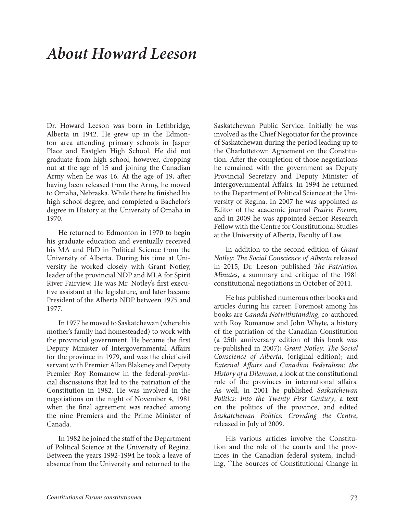## *About Howard Leeson*

Dr. Howard Leeson was born in Lethbridge, Alberta in 1942. He grew up in the Edmonton area attending primary schools in Jasper Place and Eastglen High School. He did not graduate from high school, however, dropping out at the age of 15 and joining the Canadian Army when he was 16. At the age of 19, after having been released from the Army, he moved to Omaha, Nebraska. While there he finished his high school degree, and completed a Bachelor's degree in History at the University of Omaha in 1970.

He returned to Edmonton in 1970 to begin his graduate education and eventually received his MA and PhD in Political Science from the University of Alberta. During his time at University he worked closely with Grant Notley, leader of the provincial NDP and MLA for Spirit River Fairview. He was Mr. Notley's first executive assistant at the legislature, and later became President of the Alberta NDP between 1975 and 1977.

In 1977 he moved to Saskatchewan (where his mother's family had homesteaded) to work with the provincial government. He became the first Deputy Minister of Intergovernmental Affairs for the province in 1979, and was the chief civil servant with Premier Allan Blakeney and Deputy Premier Roy Romanow in the federal-provincial discussions that led to the patriation of the Constitution in 1982. He was involved in the negotiations on the night of November 4, 1981 when the final agreement was reached among the nine Premiers and the Prime Minister of Canada.

In 1982 he joined the staff of the Department of Political Science at the University of Regina. Between the years 1992-1994 he took a leave of absence from the University and returned to the

Saskatchewan Public Service. Initially he was involved as the Chief Negotiator for the province of Saskatchewan during the period leading up to the Charlottetown Agreement on the Constitution. After the completion of those negotiations he remained with the government as Deputy Provincial Secretary and Deputy Minister of Intergovernmental Affairs. In 1994 he returned to the Department of Political Science at the University of Regina. In 2007 he was appointed as Editor of the academic journal *Prairie Forum*, and in 2009 he was appointed Senior Research Fellow with the Centre for Constitutional Studies at the University of Alberta, Faculty of Law.

In addition to the second edition of *Grant Notley: The Social Conscience of Alberta* released in 2015, Dr. Leeson published *The Patriation Minutes*, a summary and critique of the 1981 constitutional negotiations in October of 2011.

He has published numerous other books and articles during his career. Foremost among his books are *Canada Notwithstanding*, co-authored with Roy Romanow and John Whyte, a history of the patriation of the Canadian Constitution (a 25th anniversary edition of this book was re-published in 2007); *Grant Notley: The Social Conscience of Alberta*, (original edition); and *External Affairs and Canadian Federalism: the History of a Dilemma*, a look at the constitutional role of the provinces in international affairs. As well, in 2001 he published *Saskatchewan Politics: Into the Twenty First Century*, a text on the politics of the province, and edited *Saskatchewan Politics: Crowding the Centre*, released in July of 2009.

His various articles involve the Constitution and the role of the courts and the provinces in the Canadian federal system, including, "The Sources of Constitutional Change in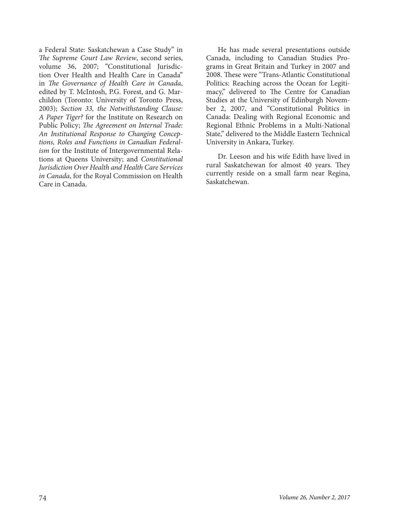a Federal State: Saskatchewan a Case Study" in *The Supreme Court Law Review*, second series, volume 36, 2007; "Constitutional Jurisdiction Over Health and Health Care in Canada" in *The Governance of Health Care in Canada*, edited by T. McIntosh, P.G. Forest, and G. Marchildon (Toronto: University of Toronto Press, 2003); *Section 33, the Notwithstanding Clause: A Paper Tiger?* for the Institute on Research on Public Policy; *The Agreement on Internal Trade: An Institutional Response to Changing Conceptions, Roles and Functions in Canadian Federalism* for the Institute of Intergovernmental Relations at Queens University; and *Constitutional Jurisdiction Over Health and Health Care Services in Canada*, for the Royal Commission on Health Care in Canada.

He has made several presentations outside Canada, including to Canadian Studies Programs in Great Britain and Turkey in 2007 and 2008. These were "Trans-Atlantic Constitutional Politics: Reaching across the Ocean for Legitimacy," delivered to The Centre for Canadian Studies at the University of Edinburgh November 2, 2007, and "Constitutional Politics in Canada: Dealing with Regional Economic and Regional Ethnic Problems in a Multi-National State," delivered to the Middle Eastern Technical University in Ankara, Turkey.

Dr. Leeson and his wife Edith have lived in rural Saskatchewan for almost 40 years. They currently reside on a small farm near Regina, Saskatchewan.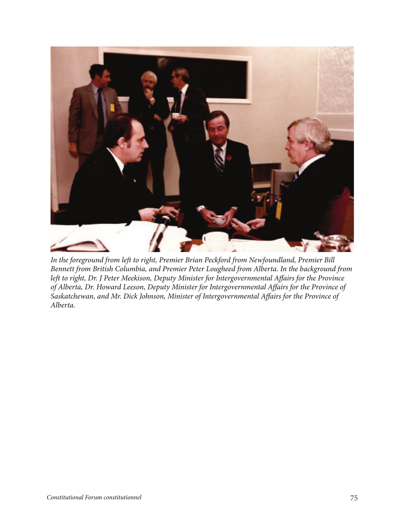

*In the foreground from left to right, Premier Brian Peckford from Newfoundland, Premier Bill Bennett from British Columbia, and Premier Peter Lougheed from Alberta. In the background from left to right, Dr. J Peter Meekison, Deputy Minister for Intergovernmental Affairs for the Province of Alberta, Dr. Howard Leeson, Deputy Minister for Intergovernmental Affairs for the Province of Saskatchewan, and Mr. Dick Johnson, Minister of Intergovernmental Affairs for the Province of Alberta.*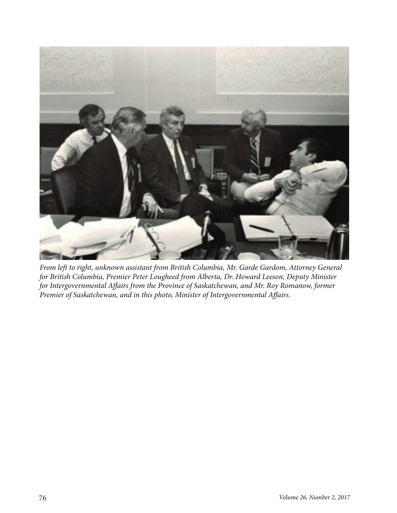

*From left to right, unknown assistant from British Columbia, Mr. Garde Gardom, Attorney General for British Columbia, Premier Peter Lougheed from Alberta, Dr. Howard Leeson, Deputy Minister for Intergovernmental Affairs from the Province of Saskatchewan, and Mr. Roy Romanow, former Premier of Saskatchewan, and in this photo, Minister of Intergovernmental Affairs.*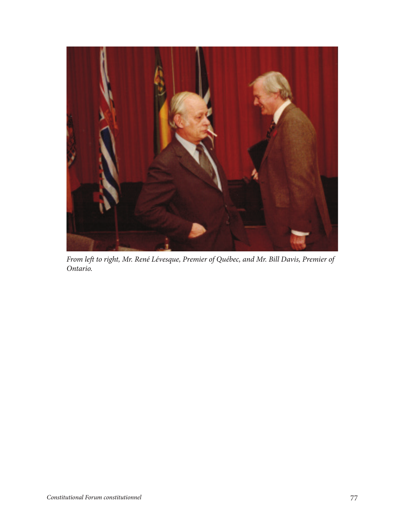

*From left to right, Mr. René Lévesque, Premier of Québec, and Mr. Bill Davis, Premier of Ontario.*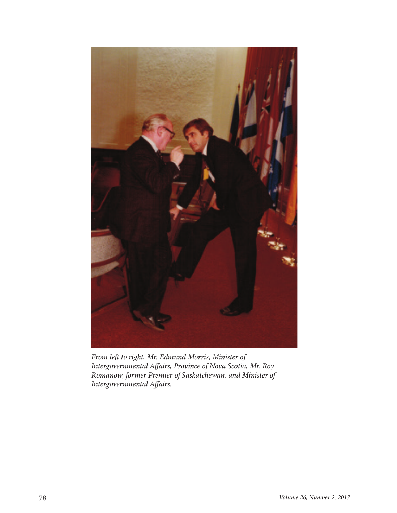

*From left to right, Mr. Edmund Morris, Minister of Intergovernmental Affairs, Province of Nova Scotia, Mr. Roy Romanow, former Premier of Saskatchewan, and Minister of Intergovernmental Affairs.*